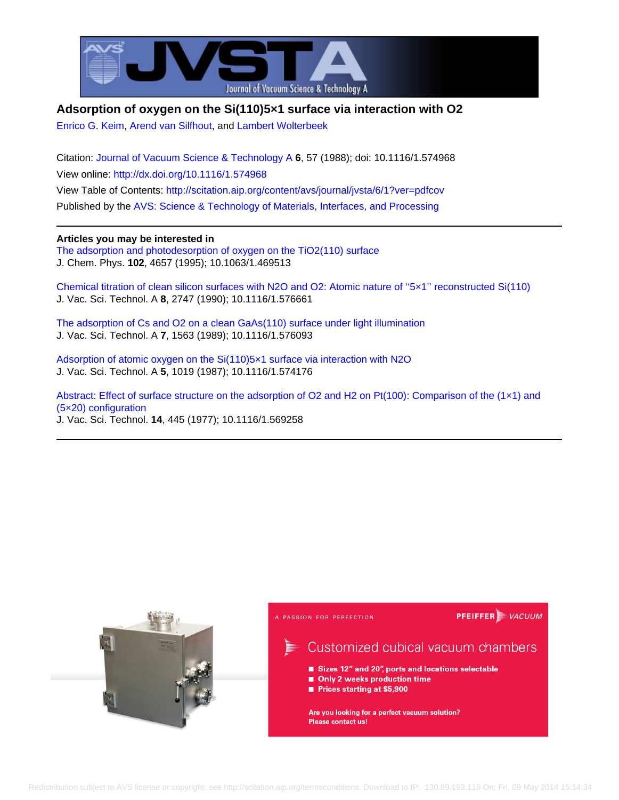

## **Adsorption of oxygen on the Si(110)5×1 surface via interaction with O2**

[Enrico G. Keim,](http://scitation.aip.org/search?value1=Enrico+G.+Keim&option1=author) [Arend van Silfhout,](http://scitation.aip.org/search?value1=Arend+van+Silfhout&option1=author) and [Lambert Wolterbeek](http://scitation.aip.org/search?value1=Lambert+Wolterbeek&option1=author)

Citation: [Journal of Vacuum Science & Technology A](http://scitation.aip.org/content/avs/journal/jvsta?ver=pdfcov) **6**, 57 (1988); doi: 10.1116/1.574968 View online: <http://dx.doi.org/10.1116/1.574968> View Table of Contents:<http://scitation.aip.org/content/avs/journal/jvsta/6/1?ver=pdfcov> Published by the [AVS: Science & Technology of Materials, Interfaces, and Processing](http://scitation.aip.org/content/avs?ver=pdfcov)

### **Articles you may be interested in**

[The adsorption and photodesorption of oxygen on the TiO2\(110\) surface](http://scitation.aip.org/content/aip/journal/jcp/102/11/10.1063/1.469513?ver=pdfcov) J. Chem. Phys. **102**, 4657 (1995); 10.1063/1.469513

[Chemical titration of clean silicon surfaces with N2O and O2: Atomic nature of ''5×1'' reconstructed Si\(110\)](http://scitation.aip.org/content/avs/journal/jvsta/8/3/10.1116/1.576661?ver=pdfcov) J. Vac. Sci. Technol. A **8**, 2747 (1990); 10.1116/1.576661

[The adsorption of Cs and O2 on a clean GaAs\(110\) surface under light illumination](http://scitation.aip.org/content/avs/journal/jvsta/7/3/10.1116/1.576093?ver=pdfcov) J. Vac. Sci. Technol. A **7**, 1563 (1989); 10.1116/1.576093

[Adsorption of atomic oxygen on the Si\(110\)5×1 surface via interaction with N2O](http://scitation.aip.org/content/avs/journal/jvsta/5/4/10.1116/1.574176?ver=pdfcov) J. Vac. Sci. Technol. A **5**, 1019 (1987); 10.1116/1.574176

[Abstract: Effect of surface structure on the adsorption of O2 and H2 on Pt\(100\): Comparison of the \(1×1\) and](http://scitation.aip.org/content/avs/journal/jvst/14/1/10.1116/1.569258?ver=pdfcov) [\(5×20\) configuration](http://scitation.aip.org/content/avs/journal/jvst/14/1/10.1116/1.569258?ver=pdfcov) J. Vac. Sci. Technol. **14**, 445 (1977); 10.1116/1.569258

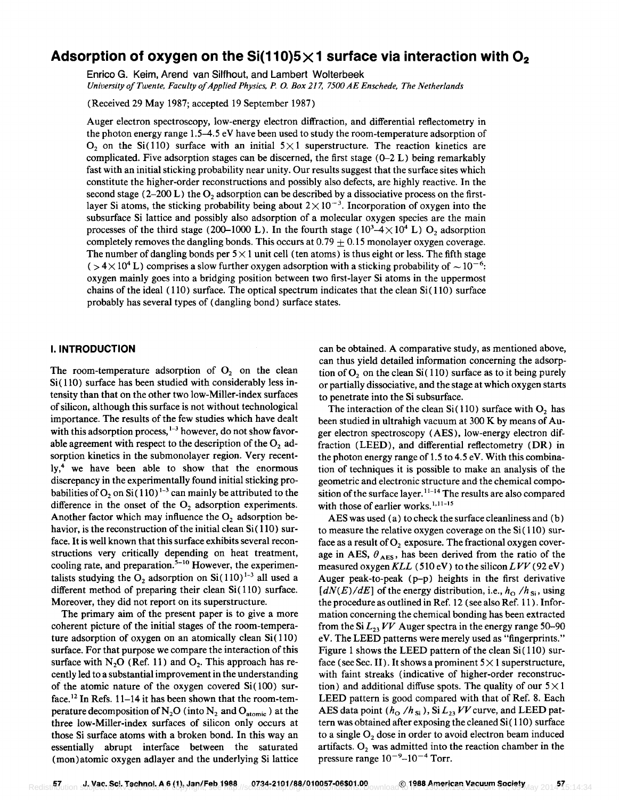# Adsorption of oxygen on the Si(110)5 $\times$ 1 surface via interaction with O<sub>2</sub>

Enrico G. Keim, Arend van Silfhout, and Lambert Wolterbeek *University of Twente. Faculty of Applied Physics. P. O. Box* 217, *7500 AE Enschede. The Netherlands* 

(Received 29 May 1987; accepted 19 September 1987)

Auger electron spectroscopy, low-energy electron diffraction, and differential reflectometry in the photon energy range 1.5-4.5 eV have been used to study the room-temperature adsorption of  $O<sub>2</sub>$  on the Si(110) surface with an initial  $5 \times 1$  superstructure. The reaction kinetics are complicated. Five adsorption stages can be discerned, the first stage  $(0-2)$  L) being remarkably fast with an initial sticking probability near unity. Our results suggest that the surface sites which constitute the higher-order reconstructions and possibly also defects, are highly reactive. In the second stage ( $2-200$  L) the O<sub>2</sub> adsorption can be described by a dissociative process on the firstlayer Si atoms, the sticking probability being about  $2 \times 10^{-3}$ . Incorporation of oxygen into the subsurface Si lattice and possibly also adsorption of a molecular oxygen species are the main processes of the third stage (200–1000 L). In the fourth stage ( $10^3-4\times 10^4$  L) O<sub>2</sub> adsorption completely removes the dangling bonds. This occurs at  $0.79 \pm 0.15$  monolayer oxygen coverage. The number of dangling bonds per  $5 \times 1$  unit cell (ten atoms) is thus eight or less. The fifth stage  $( > 4 \times 10^{4} \text{ L})$  comprises a slow further oxygen adsorption with a sticking probability of  $\sim 10^{-6}$ . oxygen mainly goes into a bridging position between two first-layer Si atoms in the uppermost chains of the ideal  $(110)$  surface. The optical spectrum indicates that the clean  $Si(110)$  surface probably has several types of (dangling bond) surface states.

#### I. **INTRODUCTION**

The room-temperature adsorption of  $O_2$  on the clean  $Si(110)$  surface has been studied with considerably less intensity than that on the other two low-Miller-index surfaces of silicon, although this surface is not without technological importance. The results of the few studies which have dealt with this adsorption process,  $1-3$  however, do not show favorable agreement with respect to the description of the  $O_2$  adsorption kinetics in the submonolayer region. Very recently,4 we have been able to show that the enormous discrepancy in the experimentally found initial sticking probabilities of O<sub>2</sub> on Si $(110)^{1-3}$  can mainly be attributed to the difference in the onset of the  $O_2$  adsorption experiments. Another factor which may influence the  $O<sub>2</sub>$  adsorption behavior, is the reconstruction of the initial clean  $Si(110)$  surface. It is well known that this surface exhibits several reconstructions very critically depending on heat treatment, cooling rate, and preparation.<sup>5-10</sup> However, the experimentalists studying the  $O_2$  adsorption on Si $(110)^{1-3}$  all used a different method of preparing their clean  $Si(110)$  surface. Moreover, they did not report on its superstructure.

The primary aim of the present paper is to give a more coherent picture of the initial stages of the room-temperature adsorption of oxygen on an atomically clean  $Si(110)$ surface. For that purpose we compare the interaction of this surface with N<sub>2</sub>O (Ref. 11) and  $O<sub>2</sub>$ . This approach has recently led to a substantial improvement in the understanding of the atomic nature of the oxygen covered  $Si(100)$  surface.<sup>12</sup> In Refs. 11-14 it has been shown that the room-temperature decomposition of  $N_2O$  (into  $N_2$  and  $O_{\text{atomic}}$ ) at the three low-Miller-index surfaces of silicon only occurs at those Si surface atoms with a broken bond. In this wayan essentially abrupt interface between the saturated (mon)atomic oxygen adlayer and the underlying Si lattice

can be obtained. A comparative study, as mentioned above, can thus yield detailed information concerning the adsorption of  $O<sub>2</sub>$  on the clean Si $(110)$  surface as to it being purely or partially dissociative, and the stage at which oxygen starts to penetrate into the Si subsurface.

The interaction of the clean  $Si(110)$  surface with  $O<sub>2</sub>$  has been studied in ultrahigh vacuum at 300 K by means of Auger electron spectroscopy (AES), low-energy electron diffraction (LEEO), and differential reflectometry (OR) in the photon energy range of 1.5 to 4.5 eV. With this combination of techniques it is possible to make an analysis of the geometric and electronic structure and the chemical composition of the surface layer.<sup>11-14</sup> The results are also compared with those of earlier works.<sup>1,11-15</sup>

AES was used (a) to check the surface cleanliness and (b) to measure the relative oxygen coverage on the  $Si(110)$  surface as a result of  $O<sub>2</sub>$  exposure. The fractional oxygen coverage in AES,  $\theta_{\text{AES}}$ , has been derived from the ratio of the measured oxygen KLL (510 eV) to the silicon LVV (92 eV) Auger peak-to-peak (p-p) heights in the first derivative  $[dN(E)/dE]$  of the energy distribution, i.e.,  $h_0/h_{Si}$ , using the procedure as outlined in Ref. 12 (see also Ref. 11 ). Information concerning the chemical bonding has been extracted from the Si  $L_2$ <sup>*VV*</sup> Auger spectra in the energy range 50-90 eV. The LEEO patterns were merely used as "fingerprints." Figure 1 shows the LEED pattern of the clean  $Si(110)$  surface (see Sec. II). It shows a prominent  $5 \times 1$  superstructure, with faint streaks (indicative of higher-order reconstruction) and additional diffuse spots. The quality of our  $5 \times 1$ LEEO pattern is good compared with that of Ref. 8. Each AES data point  $(h_0/h_{Si})$ , Si  $L_{23}$  VV curve, and LEED pattern was obtained after exposing the cleaned Si ( 110) surface to a single  $O<sub>2</sub>$  dose in order to avoid electron beam induced artifacts.  $O_2$  was admitted into the reaction chamber in the pressure range  $10^{-9}$ - $10^{-4}$  Torr.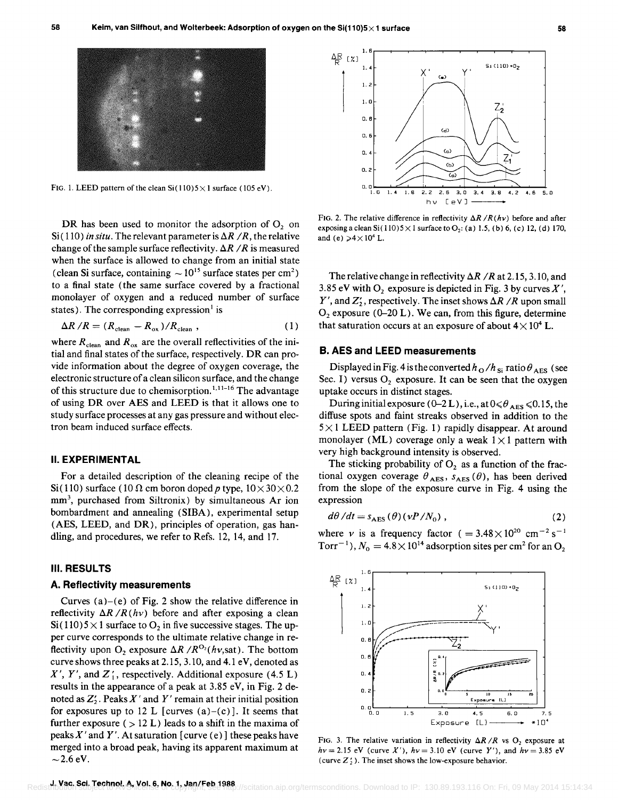

FIG. 1. LEED pattern of the clean  $\text{Si}(110)5\!\times\!1$  surface (105 eV).

DR has been used to monitor the adsorption of  $O<sub>2</sub>$  on Si(110) *in situ*. The relevant parameter is  $\Delta R / R$ , the relative change of the sample surface reflectivity.  $\Delta R / R$  is measured when the surface is allowed to change from an initial state (clean Si surface, containing  $\sim 10^{15}$  surface states per cm<sup>2</sup>) to a final state (the same surface covered by a fractional monolayer of oxygen and a reduced number of surface states). The corresponding expression is

$$
\Delta R / R = (R_{\text{clean}} - R_{\text{ox}}) / R_{\text{clean}} , \qquad (1)
$$

where  $R_{clean}$  and  $R_{ox}$  are the overall reflectivities of the initial and final states of the surface, respectively. DR can provide information about the degree of oxygen coverage, the electronic structure of a clean silicon surface, and the change of this structure due to chemisorption.<sup>1,11-16</sup> The advantage of using DR over AES and LEED is that it allows one to study surface processes at any gas pressure and without electron beam induced surface effects.

#### II. EXPERIMENTAL

For a detailed description of the cleaning recipe of the Si (110) surface (10  $\Omega$  cm boron doped p type,  $10 \times 30 \times 0.2$ mm<sup>3</sup>, purchased from Siltronix) by simultaneous Ar ion bombardment and annealing (SIBA), experimental setup (AES, LEED, and DR), principles of operation, gas handling, and procedures, we refer to Refs. 12, 14, and 17.

#### III. RESULTS

#### A. Reflectivity measurements

Curves  $(a)-(e)$  of Fig. 2 show the relative difference in reflectivity  $\Delta R / R(h\nu)$  before and after exposing a clean  $Si(110)5\times1$  surface to  $O_2$  in five successive stages. The upper curve corresponds to the ultimate relative change in reflectivity upon  $O_2$  exposure  $\Delta R / R^{O_2}(hv, \text{sat})$ . The bottom curve shows three peaks at 2.15,3.10, and 4.1 eV, denoted as  $X'$ ,  $Y'$ , and  $Z'$ , respectively. Additional exposure (4.5 L) results in the appearance of a peak at 3.85 eV, in Fig. 2 denoted as  $Z'_2$ . Peaks X' and Y' remain at their initial position for exposures up to 12 L [curves  $(a)-(c)$ ]. It seems that further exposure ( $> 12$  L) leads to a shift in the maxima of peaks  $X'$  and Y'. At saturation [curve (e)] these peaks have merged into a broad peak, having its apparent maximum at  $\sim$  2.6 eV.



FIG. 2. The relative difference in reflectivity  $\Delta R / R(h\nu)$  before and after exposing a clean Si(110)5  $\times$  1 surface to O<sub>2</sub>: (a) 1.5, (b) 6, (c) 12, (d) 170, and (e)  $\geq 4 \times 10^4$  L.

The relative change in reflectivity  $\Delta R$  /R at 2.15, 3.10, and 3.85 eV with  $O_2$  exposure is depicted in Fig. 3 by curves  $X'$ , *Y'*, and  $Z'_2$ , respectively. The inset shows  $\Delta R / R$  upon small  $O_2$  exposure (0-20 L). We can, from this figure, determine that saturation occurs at an exposure of about  $4 \times 10^4$  L.

## B. AES and LEED measurements

Displayed in Fig. 4 is the converted  $h_{\rm O}/h_{\rm Si}\tau$  ratio  $\theta_{\rm AES}$  (see Sec. I) versus  $O_2$  exposure. It can be seen that the oxygen uptake occurs in distinct stages.

During initial exposure (0–2 L), i.e., at  $0 \le \theta_{\text{AES}} \le 0.15$ , the diffuse spots and faint streaks observed in addition to the  $5 \times 1$  LEED pattern (Fig. 1) rapidly disappear. At around monolayer (ML) coverage only a weak  $1 \times 1$  pattern with very high background intensity is observed.

The sticking probability of  $O<sub>2</sub>$  as a function of the fractional oxygen coverage  $\theta_{\text{AES}}$ ,  $s_{\text{AES}}(\theta)$ , has been derived from the slope of the exposure curve in Fig. 4 using the expression

$$
d\theta/dt = s_{\text{AES}}(\theta)(\nu P/N_0), \qquad (2)
$$

where *v* is a frequency factor ( $= 3.48 \times 10^{20}$  cm<sup>-2</sup> s<sup>-1</sup> Torr<sup>-1</sup>),  $N_0 = 4.8 \times 10^{14}$  adsorption sites per cm<sup>2</sup> for an O<sub>2</sub>



FIG. 3. The relative variation in reflectivity  $\Delta R / R$  vs O<sub>2</sub> exposure at *hv* = 2.15 eV (curve *X'*),  $h\nu$  = 3.10 eV (curve *Y'*), and  $h\nu$  = 3.85 eV (curve  $Z'_2$ ). The inset shows the low-exposure behavior.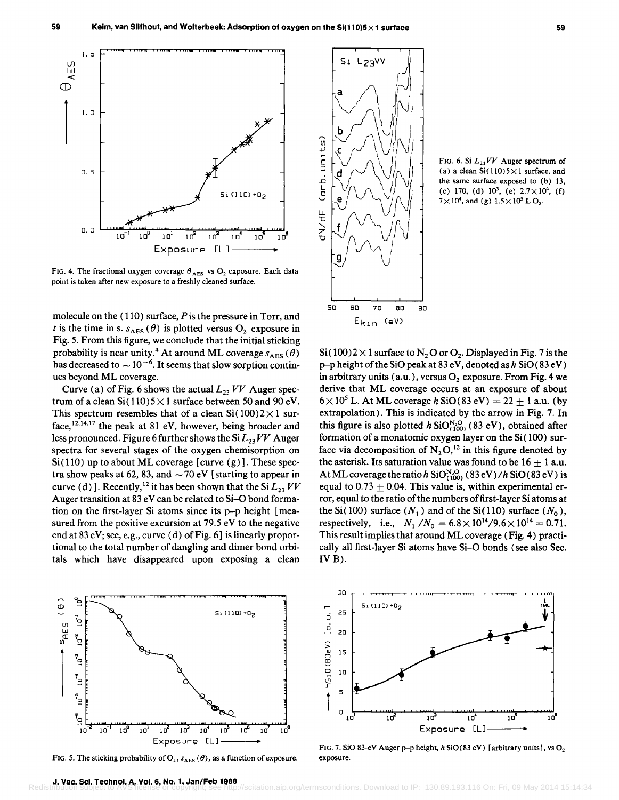

FIG. 4. The fractional oxygen coverage  $\theta_{\text{AES}}$  vs O<sub>2</sub> exposure. Each data point is taken after new exposure to a freshly cleaned surface.

molecule on the  $(110)$  surface,  $P$  is the pressure in Torr, and *t* is the time in s.  $s_{\text{AES}}(\theta)$  is plotted versus  $O_2$  exposure in Fig. 5. From this figure, we conclude that the initial sticking probability is near unity.<sup>4</sup> At around ML coverage  $s_{\text{AES}}(\theta)$ has decreased to  $\sim$  10<sup>-6</sup>. It seems that slow sorption continues beyond ML coverage.

Curve (a) of Fig. 6 shows the actual  $L_{23}$  VV Auger spectrum of a clean  $Si(110)5\times1$  surface between 50 and 90 eV. This spectrum resembles that of a clean  $Si(100)2\times1$  surface,  $12,14,17$  the peak at 81 eV, however, being broader and less pronounced. Figure 6 further shows the Si  $L_{23}VV$  Auger spectra for several stages of the oxygen chemisorption on  $Si(110)$  up to about ML coverage [curve (g)]. These spectra show peaks at 62, 83, and  $\sim$  70 eV [starting to appear in curve (d)]. Recently,<sup>12</sup> it has been shown that the Si  $L_{23}$  VV Auger transition at 83 eV can be related to Si-O bond formation on the first-layer Si atoms since its p-p height [measured from the positive excursion at 79.5 eV to the negative end at 83 eV; see, e.g., curve (d) of Fig. 6] is linearly proportional to the total number of dangling and dimer bond orbitals which have disappeared upon exposing a clean



FIG. 5. The sticking probability of  $O_2$ ,  $s_{AES}(\theta)$ , as a function of exposure.



FIG. 6. Si  $L_{23}VV$  Auger spectrum of (a) a clean  $Si(110)5 \times 1$  surface, and the same surface exposed to (b) 13, (c) 170, (d)  $10^3$ , (e)  $2.7 \times 10^4$ , (f)  $7 \times 10^4$ , and (g)  $1.5 \times 10^5$  L O<sub>2</sub>.

 $Si(100)2\times1$  surface to  $N_2O$  or  $O_2$ . Displayed in Fig. 7 is the  $p$ -p height of the SiO peak at 83 eV, denoted as h SiO(83 eV) in arbitrary units (a.u.), versus  $O_2$  exposure. From Fig. 4 we derive that ML coverage occurs at an exposure of about  $6 \times 10^5$  L. At ML coverage h SiO(83 eV) = 22  $\pm$  1 a.u. (by extrapolation). This is indicated by the arrow in Fig. 7. In this figure is also plotted *h* SiO<sup>N<sub>1</sub>O<sub>1100</sub> (83 eV), obtained after</sup> formation of a monatomic oxygen layer on the Si (100) surface via decomposition of  $N_2 O<sub>12</sub>$  in this figure denoted by the asterisk. Its saturation value was found to be  $16 \pm 1$  a.u. At ML coverage the ratio h  $SiO_{(100)}^{N, Q}$  (83 eV)/h  $SiO(83 eV)$  is equal to 0.73  $\pm$  0.04. This value is, within experimental error, equal to the ratio of the numbers of first-layer Si atoms at the Si(100) surface  $(N_1)$  and of the Si(110) surface  $(N_0)$ , respectively, i.e.,  $N_1/N_0 = 6.8 \times 10^{14} / 9.6 \times 10^{14} = 0.71$ . This result implies that around ML coverage (Fig. 4) practically all first-layer Si atoms have Si-O bonds (see also Sec.  $IVB$ ).



FIG. 7. SiO 83-eV Auger p-p height, *h* SiO(83 eV) [arbitrary units], vs O<sub>2</sub> exposure.

tation.aip.org/termsconditions. Download to IP: 130.89.193.116 On: Fri, 09 May 2014 15:14:34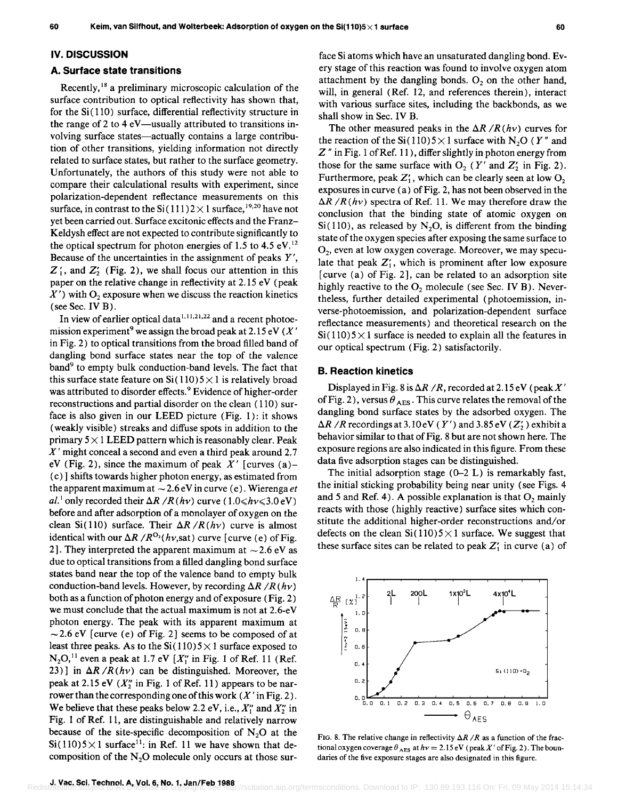#### IV. DISCUSSION

#### A. Surface state transitions

Recently, 18 a preliminary microscopic calculation of the surface contribution to optical reflectivity has shown that, for the  $Si(110)$  surface, differential reflectivity structure in the range of 2 to 4  $eV$ —usually attributed to transitions involving surface states-actually contains a large contribution of other transitions, yielding information not directly related to surface states, but rather to the surface geometry. Unfortunately, the authors of this study were not able to compare their calculational results with experiment, since polarization-dependent reflectance measurements on this surface, in contrast to the Si(111)2  $\times$  1 surface, <sup>19,20</sup> have not yet been carried out. Surface excitonic effects and the Franz-Keldysh effect are not expected to contribute significantly to the optical spectrum for photon energies of 1.5 to 4.5  $eV<sup>12</sup>$ Because of the uncertainties in the assignment of peaks Y',  $Z'_1$ , and  $Z'_2$  (Fig. 2), we shall focus our attention in this paper on the relative change in reflectivity at 2.15 eV (peak  $X'$ ) with  $O_2$  exposure when we discuss the reaction kinetics (see Sec. IV B).

In view of earlier optical data $1,11,21,22$  and a recent photoemission experiment<sup>9</sup> we assign the broad peak at 2.15 eV ( $X'$ in Fig. 2) to optical transitions from the broad filled band of dangling bond surface states near the top of the valence band<sup>9</sup> to empty bulk conduction-band levels. The fact that this surface state feature on  $Si(110)5\times1$  is relatively broad was attributed to disorder effects.<sup>9</sup> Evidence of higher-order reconstructions and partial disorder on the clean ( 110) surface is also given in our LEED picture (Fig. 1): it shows (weakly visible) streaks and diffuse spots in addition to the primary  $5 \times 1$  LEED pattern which is reasonably clear. Peak  $X'$  might conceal a second and even a third peak around 2.7 eV (Fig. 2), since the maximum of peak  $X'$  [curves (a)– (c)] shifts towards higher photon energy, as estimated from the apparent maximum at  $\sim$  2.6 eV in curve (e). Wierenga *et* al.<sup>1</sup> only recorded their  $\Delta R / R(h\nu)$  curve (1.0  $\le h\nu \le 3.0 \text{ eV}$ ) before and after adsorption of a monolayer of oxygen on the clean Si(110) surface. Their  $\Delta R / R(h\nu)$  curve is almost identical with our  $\Delta R / R^{O_2}(h\nu, \text{sat})$  curve [curve (e) of Fig. 2]. They interpreted the apparent maximum at  $\sim$  2.6 eV as due to optical transitions from a filled dangling bond surface states band near the top of the valence band to empty bulk conduction-band levels. However, by recording  $\Delta R$  / $R$  (hv) both as a function of photon energy and of exposure (Fig. 2) we must conclude that the actual maximum is not at 2.6-eV photon energy. The peak with its apparent maximum at  $\sim$  2.6 eV [curve (e) of Fig. 2] seems to be composed of at least three peaks. As to the  $Si(110)5\times1$  surface exposed to  $N_2O<sub>11</sub>$  even a peak at 1.7 eV [X'' in Fig. 1 of Ref. 11 (Ref. 23)] in  $\Delta R / R(h\nu)$  can be distinguished. Moreover, the peak at 2.15 eV  $(X''_7)$  in Fig. 1 of Ref. 11) appears to be narrower than the corresponding one of this work  $(X'$  in Fig. 2). We believe that these peaks below 2.2 eV, i.e.,  $X_1''$  and  $X_2''$  in Fig. 1 of Ref. 11, are distinguishable and relatively narrow because of the site-specific decomposition of  $N_2O$  at the Si(110)5 $\times$ 1 surface<sup>11</sup>: in Ref. 11 we have shown that decomposition of the  $N<sub>2</sub>O$  molecule only occurs at those sur-

face Si atoms which have an unsaturated dangling bond. Every stage of this reaction was found to involve oxygen atom attachment by the dangling bonds.  $O_2$  on the other hand, will, in general (Ref. 12, and references therein), interact with various surface sites, including the backbonds, as we shall show in Sec. IV B.

The other measured peaks in the  $\Delta R$  / $R(h\nu)$  curves for the reaction of the Si(110)  $5 \times 1$  surface with N<sub>2</sub>O (Y'' and Z" in Fig. 1 of Ref. 11), differ slightly in photon energy from those for the same surface with  $O_2$  (Y' and Z' in Fig. 2). Furthermore, peak  $Z'_1$ , which can be clearly seen at low  $O_2$ exposures in curve (a) of Fig. 2, has not been observed in the  $\Delta R$  /R(hv) spectra of Ref. 11. We may therefore draw the conclusion that the binding state of atomic oxygen on  $Si(110)$ , as released by N<sub>2</sub>O, is different from the binding state of the oxygen species after exposing the same surface to  $O<sub>2</sub>$ , even at low oxygen coverage. Moreover, we may speculate that peak  $Z'_1$ , which is prominent after low exposure [curve (a) of Fig. 2], can be related to an adsorption site highly reactive to the  $O_2$  molecule (see Sec. IV B). Nevertheless, further detailed experimental (photoemission, inverse-photoemission, and polarization-dependent surface reflectance measurements) and theoretical research on the  $Si(110)5\times1$  surface is needed to explain all the features in our optical spectrum (Fig. 2) satisfactorily.

#### B. Reaction kinetics

Displayed in Fig. 8 is  $\Delta R$  /R, recorded at 2.15 eV (peak X' of Fig. 2), versus  $\theta_{\text{AES}}$ . This curve relates the removal of the dangling bond surface states by the adsorbed oxygen. The  $\Delta R$  / *R* recordings at 3.10 eV *(Y')* and 3.85 eV ( $Z'$ ) exhibit a behavior similar to that of Fig. 8 but are not shown here. The exposure regions are also indicated in this figure. From these data five adsorption stages can be distinguished.

The initial adsorption stage  $(0-2 L)$  is remarkably fast, the initial sticking probability being near unity (see Figs. 4 and 5 and Ref. 4). A possible explanation is that  $O_2$  mainly reacts with those (highly reactive) surface sites which constitute the additional higher-order reconstructions and/or defects on the clean  $Si(110)5\times1$  surface. We suggest that these surface sites can be related to peak  $Z'_1$  in curve (a) of



FIG. 8. The relative change in reflectivity  $\Delta R / R$  as a function of the fractional oxygen coverage  $\theta_{\text{AES}}$  at  $h\nu = 2.15 \text{ eV}$  (peak X' of Fig. 2). The boundaries of the five exposure stages are also designated in this figure.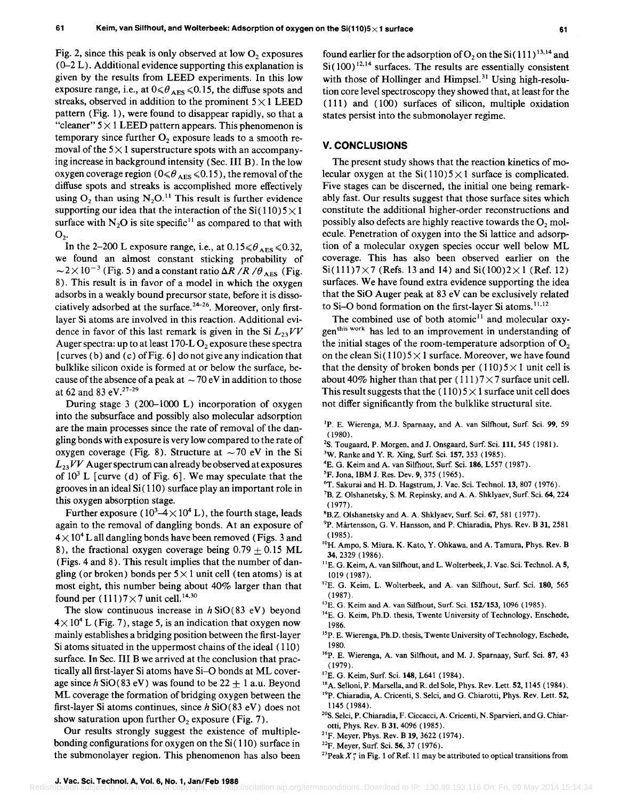Fig. 2, since this peak is only observed at low  $O<sub>2</sub>$  exposures  $(0-2)$ . Additional evidence supporting this explanation is given by the results from LEED experiments. In this low exposure range, i.e., at  $0 \le \theta_{\text{AES}} \le 0.15$ , the diffuse spots and streaks, observed in addition to the prominent  $5 \times 1$  LEED pattern (Fig. 1), were found to disappear rapidly, so that a "cleaner"  $5 \times 1$  LEED pattern appears. This phenomenon is temporary since further  $O_2$  exposure leads to a smooth removal of the  $5 \times 1$  superstructure spots with an accompanying increase in background intensity (Sec. III B). In the low oxygen coverage region ( $0 \le \theta_{\text{AES}} \le 0.15$ ), the removal of the diffuse spots and streaks is accomplished more effectively using  $O_2$  than using  $N_2O^{11}$  This result is further evidence supporting our idea that the interaction of the  $Si(110)5\times1$ surface with  $N_2O$  is site specific<sup>11</sup> as compared to that with  $O<sub>2</sub>$ .

In the 2-200 L exposure range, i.e., at  $0.15 \le \theta_{\text{AES}} \le 0.32$ , we found an almost constant sticking probability of  $\sim$  2 × 10<sup>-3</sup> (Fig. 5) and a constant ratio  $\Delta R / R / \theta_{\text{AES}}$  (Fig. 8). This result is in favor of a model in which the oxygen adsorbs in a weakly bound precursor state, before it is dissociatively adsorbed at the surface. 24-26. Moreover, only firstlayer Si atoms are involved in this reaction. Additional evidence in favor of this last remark is given in the Si  $L_{23}VV$ Auger spectra: up to at least  $170-L O_2$  exposure these spectra [curves (b) and (c) of Fig. 6] do not give any indication that bulklike silicon oxide is formed at or below the surface, because of the absence of a peak at  $\sim$  70 eV in addition to those at 62 and 83 eV.<sup>27-29</sup>

During stage 3 (200-1000 L) incorporation of oxygen into the subsurface and possibly also molecular adsorption are the main processes since the rate of removal of the dangling bonds with exposure is very low compared to the rate of oxygen coverage (Fig. 8). Structure at  $\sim$  70 eV in the Si  $L_{23} VV$  Auger spectrum can already be observed at exposures of  $10^3$  L [curve (d) of Fig. 6]. We may speculate that the grooves in an ideal Si ( 110) surface play an important role in this oxygen absorption stage.

Further exposure (  $10^3$ –4 $\times$   $10^4$  L), the fourth stage, leads again to the removal of dangling bonds. At an exposure of  $4 \times 10^4$  L all dangling bonds have been removed (Figs. 3 and 8), the fractional oxygen coverage being  $0.79 \pm 0.15$  ML (Figs. 4 and 8). This result implies that the number of dangling (or broken) bonds per  $5 \times 1$  unit cell (ten atoms) is at most eight, this number being about 40% larger than that found per  $(111)7 \times 7$  unit cell.<sup>14,30</sup>

The slow continuous increase in  $h$  SiO(83 eV) beyond  $4 \times 10^{4}$  L (Fig. 7), stage 5, is an indication that oxygen now mainly establishes a bridging position between the first-layer Si atoms situated in the uppermost chains of the ideal ( 110) surface. In Sec. III B we arrived at the conclusion that practically all first-layer Si atoms have Si-O bonds at ML coverage since  $h$  SiO(83 eV) was found to be  $22 + 1$  a.u. Beyond ML coverage the formation of bridging oxygen between the first-layer Si atoms continues, since *h* SiO( 83 eV) does not show saturation upon further  $O_2$  exposure (Fig. 7).

Our results strongly suggest the existence of multiplebonding configurations for oxygen on the  $Si(110)$  surface in the submonolayer region. This phenomenon has also been found earlier for the adsorption of  $O_2$  on the Si(111)<sup>13,14</sup> and  $Si(100)^{12,14}$  surfaces. The results are essentially consistent with those of Hollinger and Himpsel.<sup>31</sup> Using high-resolution core level spectroscopy they showed that, at least for the (111) and (100) surfaces of silicon, multiple oxidation states persist into the submonolayer regime.

## V. **CONCLUSIONS**

The present study shows that the reaction kinetics of molecular oxygen at the  $Si(110)5\times1$  surface is complicated. Five stages can be discerned, the initial one being remarkably fast. Our results suggest that those surface sites which constitute the additional higher-order reconstructions and possibly also defects are highly reactive towards the  $O<sub>2</sub>$  molecule. Penetration of oxygen into the Si lattice and adsorption of a molecular oxygen species occur well below ML coverage. This has also been observed earlier on the  $Si(111)7\times7$  (Refs. 13 and 14) and  $Si(100)2\times1$  (Ref. 12) surfaces. We have found extra evidence supporting the idea that the SiO Auger peak at 83 eV can be exclusively related to Si-O bond formation on the first-layer Si atoms.<sup>11,12</sup>

The combined use of both atomic $11$  and molecular oxygen<sup>this work</sup> has led to an improvement in understanding of the initial stages of the room-temperature adsorption of  $O<sub>2</sub>$ on the clean  $Si(110)5 \times 1$  surface. Moreover, we have found that the density of broken bonds per  $(110)5 \times 1$  unit cell is about 40% higher than that per  $(111)7 \times 7$  surface unit cell. This result suggests that the  $(110)5\times1$  surface unit cell does not differ significantly from the bulklike structural site.

- <sup>1</sup>P. E. Wierenga, M.J. Sparnaay, and A. van Silfhout, Surf. Sci. 99, 59 (1980).
- <sup>2</sup>S. Tougaard, P. Morgen, and J. Onsgaard, Surf. Sci. 111, 545 (1981).
- 3W. Ranke and Y. R. Xing, Surf. Sci. 157, 353 (1985).
- <sup>4</sup>E. G. Keim and A. van Silfhout, Surf. Sci. 186, L557 (1987).
- <sup>5</sup>F. Jona, IBM J. Res. Dev. 9, 375 (1965).
- <sup>6</sup>T. Sakurai and H. D. Hagstrum, J. Vac. Sci. Technol. 13, 807 (1976).
- 7B. Z. Olshanetsky, S. M. Repinsky, and A. A. Shklyaev, Surf. Sci. 64, 224 (1977).
- <sup>8</sup>B.Z. Olshanetsky and A. A. Shklyaev, Surf. Sci. 67, 581 (1977).
- <sup>9</sup>P. Mårtensson, G. V. Hansson, and P. Chiaradia, Phys. Rev. B 31, 2581 (1985) .
- 10H. Arnpo, S. Miura, K. Kato, Y. Ohkawa, and A. Tamura, Phys. Rev. B 34,2329 (1986).
- <sup>11</sup>E. G. Keim, A. van Silfhout, and L. Wolterbeek, J. Vac. Sci. Technol. A 5, 1019 (1987).
- <sup>12</sup>E. G. Keim, L. Wolterbeek, and A. van Silfhout, Surf. Sci. 180, 565 (1987).
- <sup>13</sup>E. G. Keim and A. van Silfhout, Surf. Sci. 152/153, 1096 (1985).
- <sup>14</sup>E. G. Keim, Ph.D. thesis, Twente University of Technology, Enschede, 1986.
- <sup>15</sup>P. E. Wierenga, Ph.D. thesis, Twente University of Technology, Eschede, 1980.
- <sup>16</sup>P. E. Wierenga, A. van Silfhout, and M. J. Sparnaay, Surf. Sci. 87, 43 (1979).
- <sup>17</sup>E. G. Keim, Surf. Sci. 148, L641 (1984).
- <sup>18</sup>A. Selloni, P. Marsella, and R. del Sole, Phys. Rev. Lett. 52, 1145 (1984).
- 19p. Chiaradia, A. Cricenti, S. Selci, and G. Chiarotti, Phys. Rev. Lett. 52, 1145 (1984).
- <sup>20</sup>S. Selci, P. Chiaradia, F. Ciccacci, A. Cricenti, N. Sparvieri, and G. Chiarotti, Phys. Rev. B 31, 4096 (1985).
- 21F. Meyer, Phys. Rev. B 19, 3622 (1974).
- $^{22}$ F. Meyer, Surf. Sci. 56, 37 (1976).
- <sup>23</sup>Peak  $X''_1$  in Fig. 1 of Ref. 11 may be attributed to optical transitions from